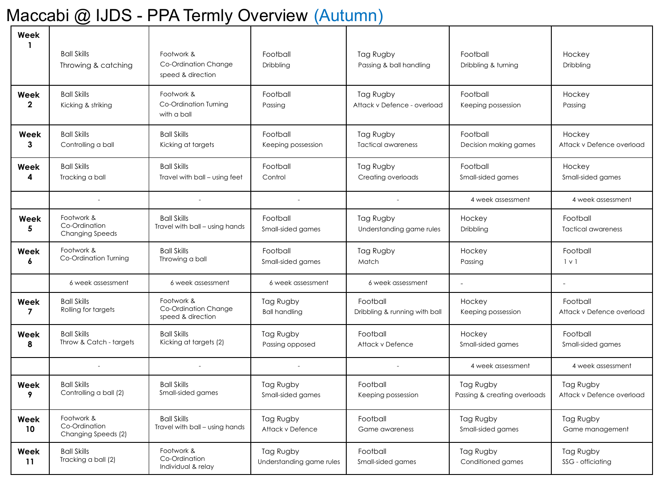## Maccabi @ IJDS - PPA Termly Overview (Autumn)

| Week<br>1            | <b>Ball Skills</b>                                    | Footwork &                                              | Football                              | Tag Rugby                                 | Football                                  | Hockey                                 |
|----------------------|-------------------------------------------------------|---------------------------------------------------------|---------------------------------------|-------------------------------------------|-------------------------------------------|----------------------------------------|
|                      | Throwing & catching                                   | Co-Ordination Change<br>speed & direction               | Dribbling                             | Passing & ball handling                   | Dribbling & turning                       | Dribbling                              |
| Week<br>$\mathbf{2}$ | <b>Ball Skills</b><br>Kicking & striking              | Footwork &<br>Co-Ordination Turning<br>with a ball      | Football<br>Passing                   | Tag Rugby<br>Attack v Defence - overload  | Football<br>Keeping possession            | Hockey<br>Passing                      |
| Week<br>3            | <b>Ball Skills</b><br>Controlling a ball              | <b>Ball Skills</b><br>Kicking at targets                | Football<br>Keeping possession        | Tag Rugby<br><b>Tactical awareness</b>    | Football<br>Decision making games         | Hockey<br>Attack v Defence overload    |
| Week<br>4            | <b>Ball Skills</b><br>Tracking a ball                 | <b>Ball Skills</b><br>Travel with ball - using feet     | Football<br>Control                   | Tag Rugby<br>Creating overloads           | Football<br>Small-sided games             | Hockey<br>Small-sided games            |
|                      |                                                       |                                                         |                                       |                                           | 4 week assessment                         | 4 week assessment                      |
| Week<br>5            | Footwork &<br>Co-Ordination<br><b>Changing Speeds</b> | <b>Ball Skills</b><br>Travel with ball - using hands    | Football<br>Small-sided games         | Tag Rugby<br>Understanding game rules     | Hockey<br>Dribbling                       | Football<br><b>Tactical awareness</b>  |
| Week<br>6            | Footwork &<br>Co-Ordination Turning                   | <b>Ball Skills</b><br>Throwing a ball                   | Football<br>Small-sided games         | Tag Rugby<br>Match                        | Hockey<br>Passing                         | Football<br>$1 \vee 1$                 |
|                      | 6 week assessment                                     | 6 week assessment                                       | 6 week assessment                     | 6 week assessment                         | $\sim$                                    | $\sim$                                 |
| Week<br>7            | <b>Ball Skills</b><br>Rolling for targets             | Footwork &<br>Co-Ordination Change<br>speed & direction | Tag Rugby<br><b>Ball handling</b>     | Football<br>Dribbling & running with ball | Hockey<br>Keeping possession              | Football<br>Attack v Defence overload  |
| Week<br>8            | <b>Ball Skills</b><br>Throw & Catch - targets         | <b>Ball Skills</b><br>Kicking at targets (2)            | Tag Rugby<br>Passing opposed          | Football<br>Attack v Defence              | Hockey<br>Small-sided games               | Football<br>Small-sided games          |
|                      |                                                       |                                                         |                                       |                                           | 4 week assessment                         | 4 week assessment                      |
| Week<br>9            | <b>Ball Skills</b><br>Controlling a ball (2)          | <b>Ball Skills</b><br>Small-sided games                 | Tag Rugby<br>Small-sided games        | Football<br>Keeping possession            | Tag Rugby<br>Passing & creating overloads | Tag Rugby<br>Attack v Defence overload |
| Week<br>10           | Footwork &<br>Co-Ordination<br>Changing Speeds (2)    | <b>Ball Skills</b><br>Travel with ball - using hands    | Tag Rugby<br>Attack v Defence         | Football<br>Game awareness                | Tag Rugby<br>Small-sided games            | Tag Rugby<br>Game management           |
| Week<br>11           | <b>Ball Skills</b><br>Tracking a ball (2)             | Footwork &<br>Co-Ordination<br>Individual & relay       | Tag Rugby<br>Understanding game rules | Football<br>Small-sided games             | Tag Rugby<br>Conditioned games            | Tag Rugby<br>SSG - officiating         |